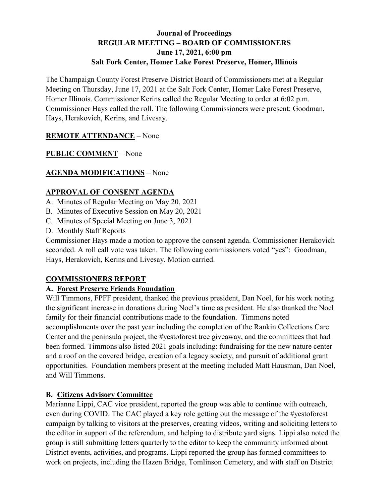### **Journal of Proceedings REGULAR MEETING – BOARD OF COMMISSIONERS June 17, 2021, 6:00 pm Salt Fork Center, Homer Lake Forest Preserve, Homer, Illinois**

The Champaign County Forest Preserve District Board of Commissioners met at a Regular Meeting on Thursday, June 17, 2021 at the Salt Fork Center, Homer Lake Forest Preserve, Homer Illinois. Commissioner Kerins called the Regular Meeting to order at 6:02 p.m. Commissioner Hays called the roll. The following Commissioners were present: Goodman, Hays, Herakovich, Kerins, and Livesay.

### **REMOTE ATTENDANCE** – None

# **PUBLIC COMMENT** – None

# **AGENDA MODIFICATIONS** – None

### **APPROVAL OF CONSENT AGENDA**

- A. Minutes of Regular Meeting on May 20, 2021
- B. Minutes of Executive Session on May 20, 2021
- C. Minutes of Special Meeting on June 3, 2021
- D. Monthly Staff Reports

Commissioner Hays made a motion to approve the consent agenda. Commissioner Herakovich seconded. A roll call vote was taken. The following commissioners voted "yes": Goodman, Hays, Herakovich, Kerins and Livesay. Motion carried.

### **COMMISSIONERS REPORT**

### **A. Forest Preserve Friends Foundation**

Will Timmons, FPFF president, thanked the previous president, Dan Noel, for his work noting the significant increase in donations during Noel's time as president. He also thanked the Noel family for their financial contributions made to the foundation. Timmons noted accomplishments over the past year including the completion of the Rankin Collections Care Center and the peninsula project, the #yestoforest tree giveaway, and the committees that had been formed. Timmons also listed 2021 goals including: fundraising for the new nature center and a roof on the covered bridge, creation of a legacy society, and pursuit of additional grant opportunities. Foundation members present at the meeting included Matt Hausman, Dan Noel, and Will Timmons.

### **B. Citizens Advisory Committee**

Marianne Lippi, CAC vice president, reported the group was able to continue with outreach, even during COVID. The CAC played a key role getting out the message of the #yestoforest campaign by talking to visitors at the preserves, creating videos, writing and soliciting letters to the editor in support of the referendum, and helping to distribute yard signs. Lippi also noted the group is still submitting letters quarterly to the editor to keep the community informed about District events, activities, and programs. Lippi reported the group has formed committees to work on projects, including the Hazen Bridge, Tomlinson Cemetery, and with staff on District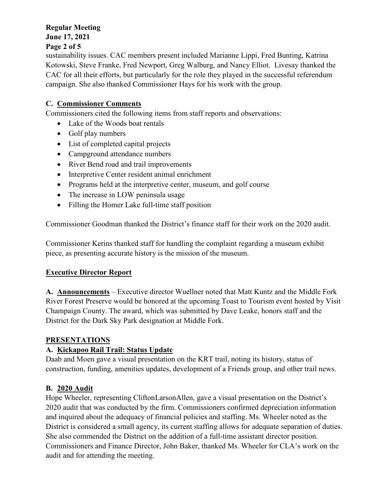### **Regular Meeting June 17, 2021**

#### **Page 2 of 5**

sustainability issues. CAC members present included Marianne Lippi, Fred Bunting, Katrina Kotowski, Steve Franke, Fred Newport, Greg Walburg, and Nancy Elliot. Livesay thanked the CAC for all their efforts, but particularly for the role they played in the successful referendum campaign. She also thanked Commissioner Hays for his work with the group.

# **C. Commissioner Comments**

Commissioners cited the following items from staff reports and observations:

- Lake of the Woods boat rentals
- Golf play numbers
- List of completed capital projects
- Campground attendance numbers
- River Bend road and trail improvements
- Interpretive Center resident animal enrichment
- Programs held at the interpretive center, museum, and golf course
- The increase in LOW peninsula usage
- Filling the Homer Lake full-time staff position

Commissioner Goodman thanked the District's finance staff for their work on the 2020 audit.

Commissioner Kerins thanked staff for handling the complaint regarding a museum exhibit piece, as presenting accurate history is the mission of the museum.

### **Executive Director Report**

**A. Announcements** – Executive director Wuellner noted that Matt Kuntz and the Middle Fork River Forest Preserve would be honored at the upcoming Toast to Tourism event hosted by Visit Champaign County. The award, which was submitted by Dave Leake, honors staff and the District for the Dark Sky Park designation at Middle Fork.

#### **PRESENTATIONS**

# **A. Kickapoo Rail Trail: Status Update**

Daab and Moen gave a visual presentation on the KRT trail, noting its history, status of construction, funding, amenities updates, development of a Friends group, and other trail news.

### **B. 2020 Audit**

Hope Wheeler, representing CliftonLarsonAllen, gave a visual presentation on the District's 2020 audit that was conducted by the firm. Commissioners confirmed depreciation information and inquired about the adequacy of financial policies and staffing. Ms. Wheeler noted as the District is considered a small agency, its current staffing allows for adequate separation of duties. She also commended the District on the addition of a full-time assistant director position. Commissioners and Finance Director, John Baker, thanked Ms. Wheeler for CLA's work on the audit and for attending the meeting.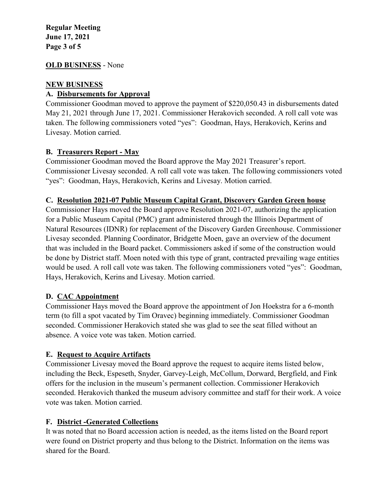#### **Regular Meeting June 17, 2021 Page 3 of 5**

#### **OLD BUSINESS** - None

#### **NEW BUSINESS**

#### **A. Disbursements for Approval**

Commissioner Goodman moved to approve the payment of \$220,050.43 in disbursements dated May 21, 2021 through June 17, 2021. Commissioner Herakovich seconded. A roll call vote was taken. The following commissioners voted "yes": Goodman, Hays, Herakovich, Kerins and Livesay. Motion carried.

#### **B. Treasurers Report - May**

Commissioner Goodman moved the Board approve the May 2021 Treasurer's report. Commissioner Livesay seconded. A roll call vote was taken. The following commissioners voted "yes": Goodman, Hays, Herakovich, Kerins and Livesay. Motion carried.

#### **C. Resolution 2021-07 Public Museum Capital Grant, Discovery Garden Green house**

Commissioner Hays moved the Board approve Resolution 2021-07, authorizing the application for a Public Museum Capital (PMC) grant administered through the Illinois Department of Natural Resources (IDNR) for replacement of the Discovery Garden Greenhouse. Commissioner Livesay seconded. Planning Coordinator, Bridgette Moen, gave an overview of the document that was included in the Board packet. Commissioners asked if some of the construction would be done by District staff. Moen noted with this type of grant, contracted prevailing wage entities would be used. A roll call vote was taken. The following commissioners voted "yes": Goodman, Hays, Herakovich, Kerins and Livesay. Motion carried.

#### **D. CAC Appointment**

Commissioner Hays moved the Board approve the appointment of Jon Hoekstra for a 6-month term (to fill a spot vacated by Tim Oravec) beginning immediately. Commissioner Goodman seconded. Commissioner Herakovich stated she was glad to see the seat filled without an absence. A voice vote was taken. Motion carried.

#### **E. Request to Acquire Artifacts**

Commissioner Livesay moved the Board approve the request to acquire items listed below, including the Beck, Espeseth, Snyder, Garvey-Leigh, McCollum, Dorward, Bergfield, and Fink offers for the inclusion in the museum's permanent collection. Commissioner Herakovich seconded. Herakovich thanked the museum advisory committee and staff for their work. A voice vote was taken. Motion carried.

#### **F. District -Generated Collections**

It was noted that no Board accession action is needed, as the items listed on the Board report were found on District property and thus belong to the District. Information on the items was shared for the Board.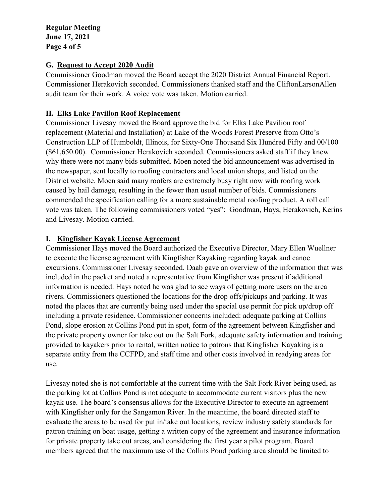**Regular Meeting June 17, 2021 Page 4 of 5**

#### **G. Request to Accept 2020 Audit**

Commissioner Goodman moved the Board accept the 2020 District Annual Financial Report. Commissioner Herakovich seconded. Commissioners thanked staff and the CliftonLarsonAllen audit team for their work. A voice vote was taken. Motion carried.

#### **H. Elks Lake Pavilion Roof Replacement**

Commissioner Livesay moved the Board approve the bid for Elks Lake Pavilion roof replacement (Material and Installation) at Lake of the Woods Forest Preserve from Otto's Construction LLP of Humboldt, Illinois, for Sixty-One Thousand Six Hundred Fifty and 00/100 (\$61,650.00). Commissioner Herakovich seconded. Commissioners asked staff if they knew why there were not many bids submitted. Moen noted the bid announcement was advertised in the newspaper, sent locally to roofing contractors and local union shops, and listed on the District website. Moen said many roofers are extremely busy right now with roofing work caused by hail damage, resulting in the fewer than usual number of bids. Commissioners commended the specification calling for a more sustainable metal roofing product. A roll call vote was taken. The following commissioners voted "yes": Goodman, Hays, Herakovich, Kerins and Livesay. Motion carried.

### **I. Kingfisher Kayak License Agreement**

Commissioner Hays moved the Board authorized the Executive Director, Mary Ellen Wuellner to execute the license agreement with Kingfisher Kayaking regarding kayak and canoe excursions. Commissioner Livesay seconded. Daab gave an overview of the information that was included in the packet and noted a representative from Kingfisher was present if additional information is needed. Hays noted he was glad to see ways of getting more users on the area rivers. Commissioners questioned the locations for the drop offs/pickups and parking. It was noted the places that are currently being used under the special use permit for pick up/drop off including a private residence. Commissioner concerns included: adequate parking at Collins Pond, slope erosion at Collins Pond put in spot, form of the agreement between Kingfisher and the private property owner for take out on the Salt Fork, adequate safety information and training provided to kayakers prior to rental, written notice to patrons that Kingfisher Kayaking is a separate entity from the CCFPD, and staff time and other costs involved in readying areas for use.

Livesay noted she is not comfortable at the current time with the Salt Fork River being used, as the parking lot at Collins Pond is not adequate to accommodate current visitors plus the new kayak use. The board's consensus allows for the Executive Director to execute an agreement with Kingfisher only for the Sangamon River. In the meantime, the board directed staff to evaluate the areas to be used for put in/take out locations, review industry safety standards for patron training on boat usage, getting a written copy of the agreement and insurance information for private property take out areas, and considering the first year a pilot program. Board members agreed that the maximum use of the Collins Pond parking area should be limited to